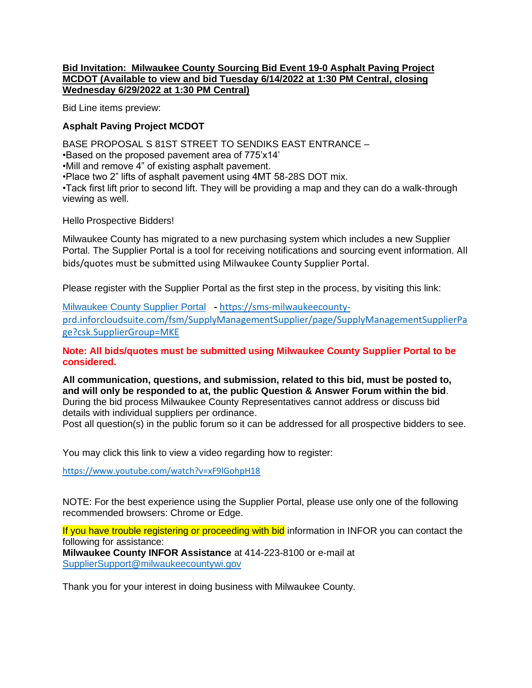## **Bid Invitation: Milwaukee County Sourcing Bid Event 19-0 Asphalt Paving Project MCDOT (Available to view and bid Tuesday 6/14/2022 at 1:30 PM Central, closing Wednesday 6/29/2022 at 1:30 PM Central)**

Bid Line items preview:

## **Asphalt Paving Project MCDOT**

BASE PROPOSAL S 81ST STREET TO SENDIKS EAST ENTRANCE – •Based on the proposed pavement area of 775'x14' •Mill and remove 4" of existing asphalt pavement. •Place two 2" lifts of asphalt pavement using 4MT 58-28S DOT mix. •Tack first lift prior to second lift. They will be providing a map and they can do a walk-through viewing as well.

Hello Prospective Bidders!

Milwaukee County has migrated to a new purchasing system which includes a new Supplier Portal. The Supplier Portal is a tool for receiving notifications and sourcing event information. All bids/quotes must be submitted using Milwaukee County Supplier Portal.

Please register with the Supplier Portal as the first step in the process, by visiting this link:

[Milwaukee County Supplier Portal](https://gcc02.safelinks.protection.outlook.com/?url=https%3A%2F%2Flinkprotect.cudasvc.com%2Furl%3Fa%3Dhttps%253a%252f%252fsms-milwaukeecounty-prd.inforcloudsuite.com%252ffsm%252fSupplyManagementSupplier%252fhome%253fcsk.SupplierGroup%253dMKE%26c%3DE%2C1%2Cmh7iAvcQ7EvZdexjd5PzS7RmS6Oerg8vzmXFQqCzRysSZ6gPjx8Y1rReA9Jj0QZzFUP7hhY97No3uVImom966_Nu5QnS9JM3rh74I7bfPn-0JRY%2C%26typo%3D1&data=04%7C01%7Cprocurement%40milwaukeecountywi.gov%7C20025b681b34454a92b408d925da6c6c%7Cab0c01f619e54e299dab4d03f82b6495%7C0%7C0%7C637582443524642102%7CUnknown%7CTWFpbGZsb3d8eyJWIjoiMC4wLjAwMDAiLCJQIjoiV2luMzIiLCJBTiI6Ik1haWwiLCJXVCI6Mn0%3D%7C0&sdata=07YZWTO3HEU4zfA0UQtSGihaP0lZMoS984v19FtdOME%3D&reserved=0) **-** [https://sms-milwaukeecounty](https://sms-milwaukeecounty-prd.inforcloudsuite.com/fsm/SupplyManagementSupplier/page/SupplyManagementSupplierPage?csk.SupplierGroup=MKE)[prd.inforcloudsuite.com/fsm/SupplyManagementSupplier/page/SupplyManagementSupplierPa](https://sms-milwaukeecounty-prd.inforcloudsuite.com/fsm/SupplyManagementSupplier/page/SupplyManagementSupplierPage?csk.SupplierGroup=MKE) [ge?csk.SupplierGroup=MKE](https://sms-milwaukeecounty-prd.inforcloudsuite.com/fsm/SupplyManagementSupplier/page/SupplyManagementSupplierPage?csk.SupplierGroup=MKE)

**Note: All bids/quotes must be submitted using Milwaukee County Supplier Portal to be considered.**

**All communication, questions, and submission, related to this bid, must be posted to, and will only be responded to at, the public Question & Answer Forum within the bid**. During the bid process Milwaukee County Representatives cannot address or discuss bid details with individual suppliers per ordinance.

Post all question(s) in the public forum so it can be addressed for all prospective bidders to see.

You may click this link to view a video regarding how to register:

<https://www.youtube.com/watch?v=xF9lGohpH18>

NOTE: For the best experience using the Supplier Portal, please use only one of the following recommended browsers: Chrome or Edge.

If you have trouble registering or proceeding with bid information in INFOR you can contact the following for assistance: **Milwaukee County INFOR Assistance** at 414-223-8100 or e-mail at [SupplierSupport@milwaukeecountywi.gov](mailto:SupplierSupport@milwaukeecountywi.gov)

Thank you for your interest in doing business with Milwaukee County.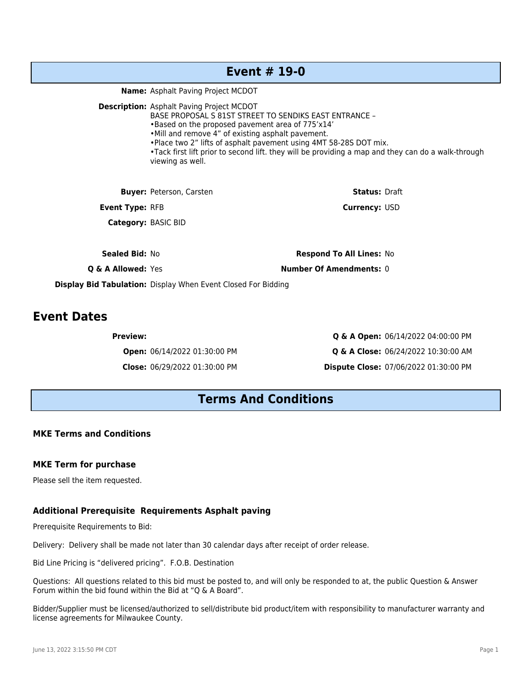## **Event # 19-0**

**Name:** Asphalt Paving Project MCDOT

**Description:** Asphalt Paving Project MCDOT

BASE PROPOSAL S 81ST STREET TO SENDIKS EAST ENTRANCE –

•Based on the proposed pavement area of 775'x14'

•Mill and remove 4" of existing asphalt pavement.

•Place two 2" lifts of asphalt pavement using 4MT 58-28S DOT mix.

•Tack first lift prior to second lift. they will be providing a map and they can do a walk-through viewing as well.

| <b>Buyer: Peterson, Carsten</b> | <b>Status: Draft</b>            |
|---------------------------------|---------------------------------|
| <b>Event Type: RFB</b>          | <b>Currency: USD</b>            |
| <b>Category: BASIC BID</b>      |                                 |
|                                 |                                 |
| <b>Sealed Bid: No</b>           | <b>Respond To All Lines: No</b> |

**Q & A Allowed:** Yes **Number Of Amendments:** 0

**Display Bid Tabulation:** Display When Event Closed For Bidding

## **Event Dates**

**Preview: Q & A Open:** 06/14/2022 04:00:00 PM **Open:** 06/14/2022 01:30:00 PM **Q & A Close:** 06/24/2022 10:30:00 AM **Close:** 06/29/2022 01:30:00 PM **Dispute Close:** 07/06/2022 01:30:00 PM

## **Terms And Conditions**

## **MKE Terms and Conditions**

#### **MKE Term for purchase**

Please sell the item requested.

#### **Additional Prerequisite Requirements Asphalt paving**

Prerequisite Requirements to Bid:

Delivery: Delivery shall be made not later than 30 calendar days after receipt of order release.

Bid Line Pricing is "delivered pricing". F.O.B. Destination

Questions: All questions related to this bid must be posted to, and will only be responded to at, the public Question & Answer Forum within the bid found within the Bid at "Q & A Board".

Bidder/Supplier must be licensed/authorized to sell/distribute bid product/item with responsibility to manufacturer warranty and license agreements for Milwaukee County.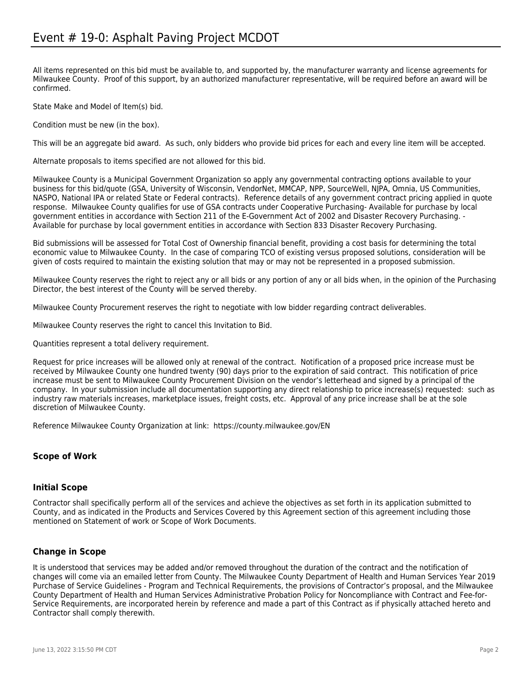All items represented on this bid must be available to, and supported by, the manufacturer warranty and license agreements for Milwaukee County. Proof of this support, by an authorized manufacturer representative, will be required before an award will be confirmed.

State Make and Model of Item(s) bid.

Condition must be new (in the box).

This will be an aggregate bid award. As such, only bidders who provide bid prices for each and every line item will be accepted.

Alternate proposals to items specified are not allowed for this bid.

Milwaukee County is a Municipal Government Organization so apply any governmental contracting options available to your business for this bid/quote (GSA, University of Wisconsin, VendorNet, MMCAP, NPP, SourceWell, NJPA, Omnia, US Communities, NASPO, National IPA or related State or Federal contracts). Reference details of any government contract pricing applied in quote response. Milwaukee County qualifies for use of GSA contracts under Cooperative Purchasing- Available for purchase by local government entities in accordance with Section 211 of the E-Government Act of 2002 and Disaster Recovery Purchasing. - Available for purchase by local government entities in accordance with Section 833 Disaster Recovery Purchasing.

Bid submissions will be assessed for Total Cost of Ownership financial benefit, providing a cost basis for determining the total economic value to Milwaukee County. In the case of comparing TCO of existing versus proposed solutions, consideration will be given of costs required to maintain the existing solution that may or may not be represented in a proposed submission.

Milwaukee County reserves the right to reject any or all bids or any portion of any or all bids when, in the opinion of the Purchasing Director, the best interest of the County will be served thereby.

Milwaukee County Procurement reserves the right to negotiate with low bidder regarding contract deliverables.

Milwaukee County reserves the right to cancel this Invitation to Bid.

Quantities represent a total delivery requirement.

Request for price increases will be allowed only at renewal of the contract. Notification of a proposed price increase must be received by Milwaukee County one hundred twenty (90) days prior to the expiration of said contract. This notification of price increase must be sent to Milwaukee County Procurement Division on the vendor's letterhead and signed by a principal of the company. In your submission include all documentation supporting any direct relationship to price increase(s) requested: such as industry raw materials increases, marketplace issues, freight costs, etc. Approval of any price increase shall be at the sole discretion of Milwaukee County.

Reference Milwaukee County Organization at link: https://county.milwaukee.gov/EN

#### **Scope of Work**

#### **Initial Scope**

Contractor shall specifically perform all of the services and achieve the objectives as set forth in its application submitted to County, and as indicated in the Products and Services Covered by this Agreement section of this agreement including those mentioned on Statement of work or Scope of Work Documents.

#### **Change in Scope**

It is understood that services may be added and/or removed throughout the duration of the contract and the notification of changes will come via an emailed letter from County. The Milwaukee County Department of Health and Human Services Year 2019 Purchase of Service Guidelines - Program and Technical Requirements, the provisions of Contractor's proposal, and the Milwaukee County Department of Health and Human Services Administrative Probation Policy for Noncompliance with Contract and Fee-for-Service Requirements, are incorporated herein by reference and made a part of this Contract as if physically attached hereto and Contractor shall comply therewith.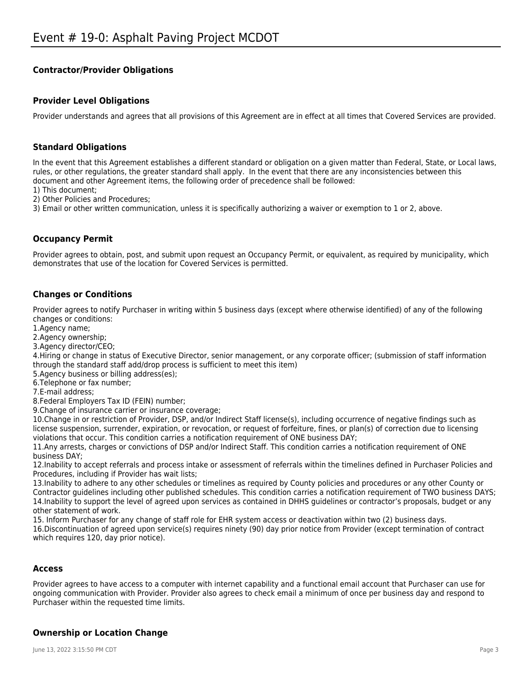## **Contractor/Provider Obligations**

## **Provider Level Obligations**

Provider understands and agrees that all provisions of this Agreement are in effect at all times that Covered Services are provided.

## **Standard Obligations**

In the event that this Agreement establishes a different standard or obligation on a given matter than Federal, State, or Local laws, rules, or other regulations, the greater standard shall apply. In the event that there are any inconsistencies between this document and other Agreement items, the following order of precedence shall be followed:

1) This document;

2) Other Policies and Procedures;

3) Email or other written communication, unless it is specifically authorizing a waiver or exemption to 1 or 2, above.

## **Occupancy Permit**

Provider agrees to obtain, post, and submit upon request an Occupancy Permit, or equivalent, as required by municipality, which demonstrates that use of the location for Covered Services is permitted.

## **Changes or Conditions**

Provider agrees to notify Purchaser in writing within 5 business days (except where otherwise identified) of any of the following changes or conditions:

1.Agency name;

2.Agency ownership;

3.Agency director/CEO;

4.Hiring or change in status of Executive Director, senior management, or any corporate officer; (submission of staff information through the standard staff add/drop process is sufficient to meet this item)

5.Agency business or billing address(es);

6.Telephone or fax number;

7.E-mail address;

8.Federal Employers Tax ID (FEIN) number;

9.Change of insurance carrier or insurance coverage;

10.Change in or restriction of Provider, DSP, and/or Indirect Staff license(s), including occurrence of negative findings such as license suspension, surrender, expiration, or revocation, or request of forfeiture, fines, or plan(s) of correction due to licensing violations that occur. This condition carries a notification requirement of ONE business DAY;

11.Any arrests, charges or convictions of DSP and/or Indirect Staff. This condition carries a notification requirement of ONE business DAY;

12.Inability to accept referrals and process intake or assessment of referrals within the timelines defined in Purchaser Policies and Procedures, including if Provider has wait lists;

13.Inability to adhere to any other schedules or timelines as required by County policies and procedures or any other County or Contractor guidelines including other published schedules. This condition carries a notification requirement of TWO business DAYS; 14.Inability to support the level of agreed upon services as contained in DHHS guidelines or contractor's proposals, budget or any other statement of work.

15. Inform Purchaser for any change of staff role for EHR system access or deactivation within two (2) business days.

16.Discontinuation of agreed upon service(s) requires ninety (90) day prior notice from Provider (except termination of contract which requires 120, day prior notice).

#### **Access**

Provider agrees to have access to a computer with internet capability and a functional email account that Purchaser can use for ongoing communication with Provider. Provider also agrees to check email a minimum of once per business day and respond to Purchaser within the requested time limits.

## **Ownership or Location Change**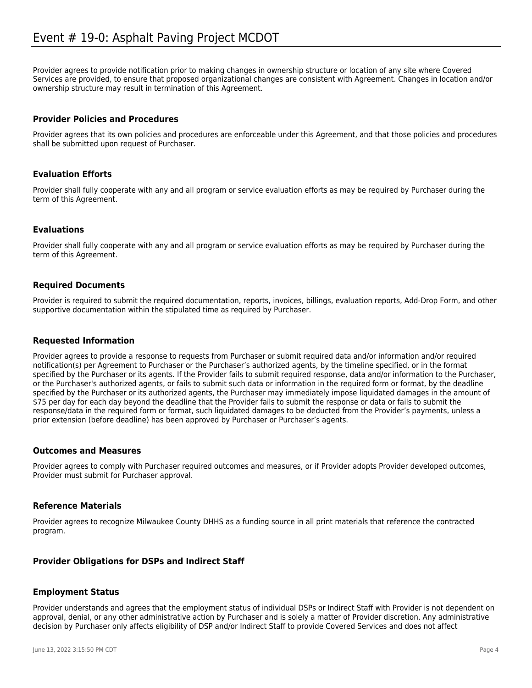Provider agrees to provide notification prior to making changes in ownership structure or location of any site where Covered Services are provided, to ensure that proposed organizational changes are consistent with Agreement. Changes in location and/or ownership structure may result in termination of this Agreement.

## **Provider Policies and Procedures**

Provider agrees that its own policies and procedures are enforceable under this Agreement, and that those policies and procedures shall be submitted upon request of Purchaser.

## **Evaluation Efforts**

Provider shall fully cooperate with any and all program or service evaluation efforts as may be required by Purchaser during the term of this Agreement.

#### **Evaluations**

Provider shall fully cooperate with any and all program or service evaluation efforts as may be required by Purchaser during the term of this Agreement.

#### **Required Documents**

Provider is required to submit the required documentation, reports, invoices, billings, evaluation reports, Add-Drop Form, and other supportive documentation within the stipulated time as required by Purchaser.

#### **Requested Information**

Provider agrees to provide a response to requests from Purchaser or submit required data and/or information and/or required notification(s) per Agreement to Purchaser or the Purchaser's authorized agents, by the timeline specified, or in the format specified by the Purchaser or its agents. If the Provider fails to submit required response, data and/or information to the Purchaser, or the Purchaser's authorized agents, or fails to submit such data or information in the required form or format, by the deadline specified by the Purchaser or its authorized agents, the Purchaser may immediately impose liquidated damages in the amount of \$75 per day for each day beyond the deadline that the Provider fails to submit the response or data or fails to submit the response/data in the required form or format, such liquidated damages to be deducted from the Provider's payments, unless a prior extension (before deadline) has been approved by Purchaser or Purchaser's agents.

#### **Outcomes and Measures**

Provider agrees to comply with Purchaser required outcomes and measures, or if Provider adopts Provider developed outcomes, Provider must submit for Purchaser approval.

#### **Reference Materials**

Provider agrees to recognize Milwaukee County DHHS as a funding source in all print materials that reference the contracted program.

## **Provider Obligations for DSPs and Indirect Staff**

#### **Employment Status**

Provider understands and agrees that the employment status of individual DSPs or Indirect Staff with Provider is not dependent on approval, denial, or any other administrative action by Purchaser and is solely a matter of Provider discretion. Any administrative decision by Purchaser only affects eligibility of DSP and/or Indirect Staff to provide Covered Services and does not affect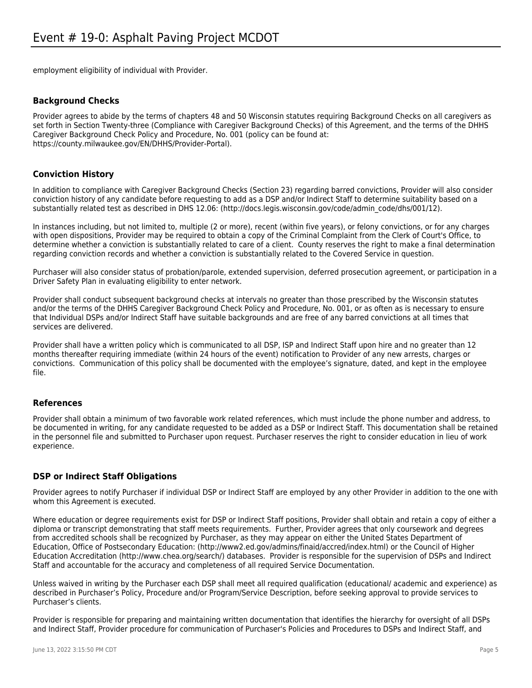employment eligibility of individual with Provider.

## **Background Checks**

Provider agrees to abide by the terms of chapters 48 and 50 Wisconsin statutes requiring Background Checks on all caregivers as set forth in Section Twenty-three (Compliance with Caregiver Background Checks) of this Agreement, and the terms of the DHHS Caregiver Background Check Policy and Procedure, No. 001 (policy can be found at: https://county.milwaukee.gov/EN/DHHS/Provider-Portal).

## **Conviction History**

In addition to compliance with Caregiver Background Checks (Section 23) regarding barred convictions, Provider will also consider conviction history of any candidate before requesting to add as a DSP and/or Indirect Staff to determine suitability based on a substantially related test as described in DHS 12.06: (http://docs.legis.wisconsin.gov/code/admin\_code/dhs/001/12).

In instances including, but not limited to, multiple (2 or more), recent (within five years), or felony convictions, or for any charges with open dispositions, Provider may be required to obtain a copy of the Criminal Complaint from the Clerk of Court's Office, to determine whether a conviction is substantially related to care of a client. County reserves the right to make a final determination regarding conviction records and whether a conviction is substantially related to the Covered Service in question.

Purchaser will also consider status of probation/parole, extended supervision, deferred prosecution agreement, or participation in a Driver Safety Plan in evaluating eligibility to enter network.

Provider shall conduct subsequent background checks at intervals no greater than those prescribed by the Wisconsin statutes and/or the terms of the DHHS Caregiver Background Check Policy and Procedure, No. 001, or as often as is necessary to ensure that Individual DSPs and/or Indirect Staff have suitable backgrounds and are free of any barred convictions at all times that services are delivered.

Provider shall have a written policy which is communicated to all DSP, ISP and Indirect Staff upon hire and no greater than 12 months thereafter requiring immediate (within 24 hours of the event) notification to Provider of any new arrests, charges or convictions. Communication of this policy shall be documented with the employee's signature, dated, and kept in the employee file.

#### **References**

Provider shall obtain a minimum of two favorable work related references, which must include the phone number and address, to be documented in writing, for any candidate requested to be added as a DSP or Indirect Staff. This documentation shall be retained in the personnel file and submitted to Purchaser upon request. Purchaser reserves the right to consider education in lieu of work experience.

#### **DSP or Indirect Staff Obligations**

Provider agrees to notify Purchaser if individual DSP or Indirect Staff are employed by any other Provider in addition to the one with whom this Agreement is executed.

Where education or degree requirements exist for DSP or Indirect Staff positions, Provider shall obtain and retain a copy of either a diploma or transcript demonstrating that staff meets requirements. Further, Provider agrees that only coursework and degrees from accredited schools shall be recognized by Purchaser, as they may appear on either the United States Department of Education, Office of Postsecondary Education: (http://www2.ed.gov/admins/finaid/accred/index.html) or the Council of Higher Education Accreditation (http://www.chea.org/search/) databases. Provider is responsible for the supervision of DSPs and Indirect Staff and accountable for the accuracy and completeness of all required Service Documentation.

Unless waived in writing by the Purchaser each DSP shall meet all required qualification (educational/ academic and experience) as described in Purchaser's Policy, Procedure and/or Program/Service Description, before seeking approval to provide services to Purchaser's clients.

Provider is responsible for preparing and maintaining written documentation that identifies the hierarchy for oversight of all DSPs and Indirect Staff, Provider procedure for communication of Purchaser's Policies and Procedures to DSPs and Indirect Staff, and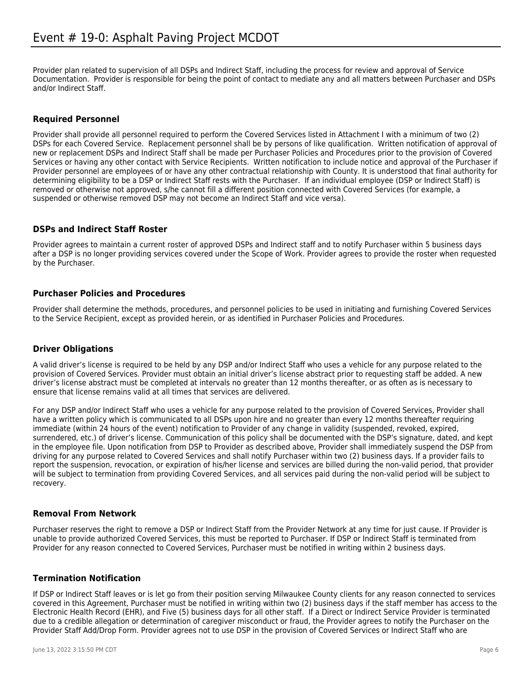Provider plan related to supervision of all DSPs and Indirect Staff, including the process for review and approval of Service Documentation. Provider is responsible for being the point of contact to mediate any and all matters between Purchaser and DSPs and/or Indirect Staff.

## **Required Personnel**

Provider shall provide all personnel required to perform the Covered Services listed in Attachment I with a minimum of two (2) DSPs for each Covered Service. Replacement personnel shall be by persons of like qualification. Written notification of approval of new or replacement DSPs and Indirect Staff shall be made per Purchaser Policies and Procedures prior to the provision of Covered Services or having any other contact with Service Recipients. Written notification to include notice and approval of the Purchaser if Provider personnel are employees of or have any other contractual relationship with County. It is understood that final authority for determining eligibility to be a DSP or Indirect Staff rests with the Purchaser. If an individual employee (DSP or Indirect Staff) is removed or otherwise not approved, s/he cannot fill a different position connected with Covered Services (for example, a suspended or otherwise removed DSP may not become an Indirect Staff and vice versa).

## **DSPs and Indirect Staff Roster**

Provider agrees to maintain a current roster of approved DSPs and Indirect staff and to notify Purchaser within 5 business days after a DSP is no longer providing services covered under the Scope of Work. Provider agrees to provide the roster when requested by the Purchaser.

## **Purchaser Policies and Procedures**

Provider shall determine the methods, procedures, and personnel policies to be used in initiating and furnishing Covered Services to the Service Recipient, except as provided herein, or as identified in Purchaser Policies and Procedures.

## **Driver Obligations**

A valid driver's license is required to be held by any DSP and/or Indirect Staff who uses a vehicle for any purpose related to the provision of Covered Services. Provider must obtain an initial driver's license abstract prior to requesting staff be added. A new driver's license abstract must be completed at intervals no greater than 12 months thereafter, or as often as is necessary to ensure that license remains valid at all times that services are delivered.

For any DSP and/or Indirect Staff who uses a vehicle for any purpose related to the provision of Covered Services, Provider shall have a written policy which is communicated to all DSPs upon hire and no greater than every 12 months thereafter requiring immediate (within 24 hours of the event) notification to Provider of any change in validity (suspended, revoked, expired, surrendered, etc.) of driver's license. Communication of this policy shall be documented with the DSP's signature, dated, and kept in the employee file. Upon notification from DSP to Provider as described above, Provider shall immediately suspend the DSP from driving for any purpose related to Covered Services and shall notify Purchaser within two (2) business days. If a provider fails to report the suspension, revocation, or expiration of his/her license and services are billed during the non-valid period, that provider will be subject to termination from providing Covered Services, and all services paid during the non-valid period will be subject to recovery.

## **Removal From Network**

Purchaser reserves the right to remove a DSP or Indirect Staff from the Provider Network at any time for just cause. If Provider is unable to provide authorized Covered Services, this must be reported to Purchaser. If DSP or Indirect Staff is terminated from Provider for any reason connected to Covered Services, Purchaser must be notified in writing within 2 business days.

## **Termination Notification**

If DSP or Indirect Staff leaves or is let go from their position serving Milwaukee County clients for any reason connected to services covered in this Agreement, Purchaser must be notified in writing within two (2) business days if the staff member has access to the Electronic Health Record (EHR), and Five (5) business days for all other staff. If a Direct or Indirect Service Provider is terminated due to a credible allegation or determination of caregiver misconduct or fraud, the Provider agrees to notify the Purchaser on the Provider Staff Add/Drop Form. Provider agrees not to use DSP in the provision of Covered Services or Indirect Staff who are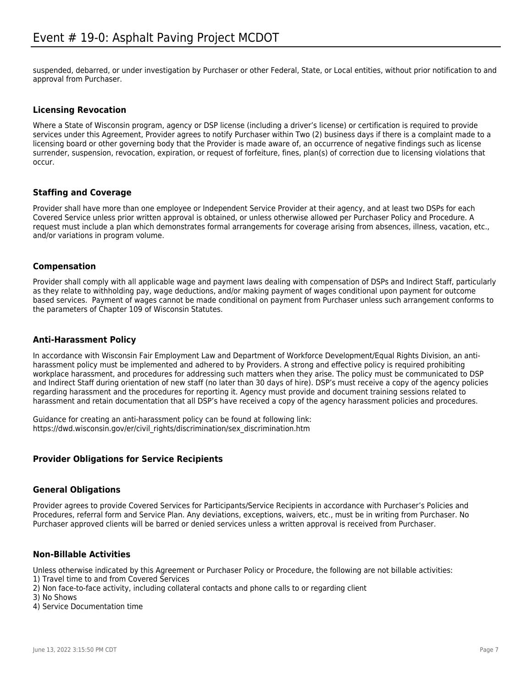suspended, debarred, or under investigation by Purchaser or other Federal, State, or Local entities, without prior notification to and approval from Purchaser.

## **Licensing Revocation**

Where a State of Wisconsin program, agency or DSP license (including a driver's license) or certification is required to provide services under this Agreement, Provider agrees to notify Purchaser within Two (2) business days if there is a complaint made to a licensing board or other governing body that the Provider is made aware of, an occurrence of negative findings such as license surrender, suspension, revocation, expiration, or request of forfeiture, fines, plan(s) of correction due to licensing violations that occur.

## **Staffing and Coverage**

Provider shall have more than one employee or Independent Service Provider at their agency, and at least two DSPs for each Covered Service unless prior written approval is obtained, or unless otherwise allowed per Purchaser Policy and Procedure. A request must include a plan which demonstrates formal arrangements for coverage arising from absences, illness, vacation, etc., and/or variations in program volume.

#### **Compensation**

Provider shall comply with all applicable wage and payment laws dealing with compensation of DSPs and Indirect Staff, particularly as they relate to withholding pay, wage deductions, and/or making payment of wages conditional upon payment for outcome based services. Payment of wages cannot be made conditional on payment from Purchaser unless such arrangement conforms to the parameters of Chapter 109 of Wisconsin Statutes.

## **Anti-Harassment Policy**

In accordance with Wisconsin Fair Employment Law and Department of Workforce Development/Equal Rights Division, an antiharassment policy must be implemented and adhered to by Providers. A strong and effective policy is required prohibiting workplace harassment, and procedures for addressing such matters when they arise. The policy must be communicated to DSP and Indirect Staff during orientation of new staff (no later than 30 days of hire). DSP's must receive a copy of the agency policies regarding harassment and the procedures for reporting it. Agency must provide and document training sessions related to harassment and retain documentation that all DSP's have received a copy of the agency harassment policies and procedures.

Guidance for creating an anti-harassment policy can be found at following link: https://dwd.wisconsin.gov/er/civil\_rights/discrimination/sex\_discrimination.htm

## **Provider Obligations for Service Recipients**

#### **General Obligations**

Provider agrees to provide Covered Services for Participants/Service Recipients in accordance with Purchaser's Policies and Procedures, referral form and Service Plan. Any deviations, exceptions, waivers, etc., must be in writing from Purchaser. No Purchaser approved clients will be barred or denied services unless a written approval is received from Purchaser.

#### **Non-Billable Activities**

Unless otherwise indicated by this Agreement or Purchaser Policy or Procedure, the following are not billable activities:

- 1) Travel time to and from Covered Services
- 2) Non face-to-face activity, including collateral contacts and phone calls to or regarding client
- 3) No Shows
- 4) Service Documentation time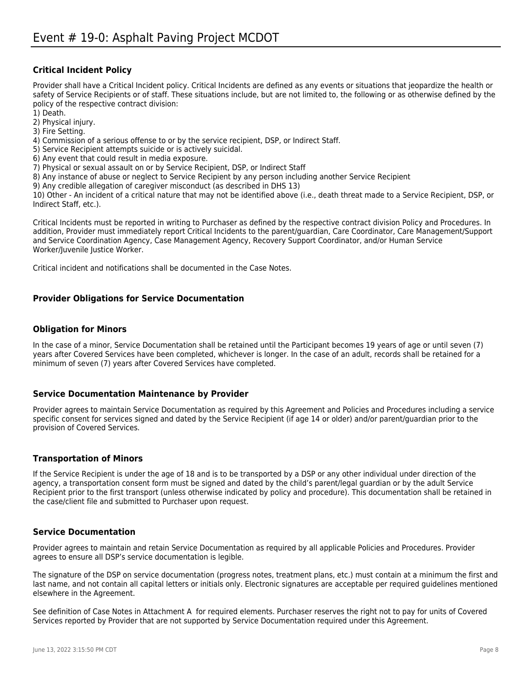## **Critical Incident Policy**

Provider shall have a Critical Incident policy. Critical Incidents are defined as any events or situations that jeopardize the health or safety of Service Recipients or of staff. These situations include, but are not limited to, the following or as otherwise defined by the policy of the respective contract division:

1) Death.

2) Physical injury.

3) Fire Setting.

4) Commission of a serious offense to or by the service recipient, DSP, or Indirect Staff.

5) Service Recipient attempts suicide or is actively suicidal.

6) Any event that could result in media exposure.

7) Physical or sexual assault on or by Service Recipient, DSP, or Indirect Staff

8) Any instance of abuse or neglect to Service Recipient by any person including another Service Recipient

9) Any credible allegation of caregiver misconduct (as described in DHS 13)

10) Other - An incident of a critical nature that may not be identified above (i.e., death threat made to a Service Recipient, DSP, or Indirect Staff, etc.).

Critical Incidents must be reported in writing to Purchaser as defined by the respective contract division Policy and Procedures. In addition, Provider must immediately report Critical Incidents to the parent/guardian, Care Coordinator, Care Management/Support and Service Coordination Agency, Case Management Agency, Recovery Support Coordinator, and/or Human Service Worker/Juvenile Justice Worker.

Critical incident and notifications shall be documented in the Case Notes.

#### **Provider Obligations for Service Documentation**

#### **Obligation for Minors**

In the case of a minor, Service Documentation shall be retained until the Participant becomes 19 years of age or until seven (7) years after Covered Services have been completed, whichever is longer. In the case of an adult, records shall be retained for a minimum of seven (7) years after Covered Services have completed.

#### **Service Documentation Maintenance by Provider**

Provider agrees to maintain Service Documentation as required by this Agreement and Policies and Procedures including a service specific consent for services signed and dated by the Service Recipient (if age 14 or older) and/or parent/guardian prior to the provision of Covered Services.

#### **Transportation of Minors**

If the Service Recipient is under the age of 18 and is to be transported by a DSP or any other individual under direction of the agency, a transportation consent form must be signed and dated by the child's parent/legal guardian or by the adult Service Recipient prior to the first transport (unless otherwise indicated by policy and procedure). This documentation shall be retained in the case/client file and submitted to Purchaser upon request.

#### **Service Documentation**

Provider agrees to maintain and retain Service Documentation as required by all applicable Policies and Procedures. Provider agrees to ensure all DSP's service documentation is legible.

The signature of the DSP on service documentation (progress notes, treatment plans, etc.) must contain at a minimum the first and last name, and not contain all capital letters or initials only. Electronic signatures are acceptable per required guidelines mentioned elsewhere in the Agreement.

See definition of Case Notes in Attachment A for required elements. Purchaser reserves the right not to pay for units of Covered Services reported by Provider that are not supported by Service Documentation required under this Agreement.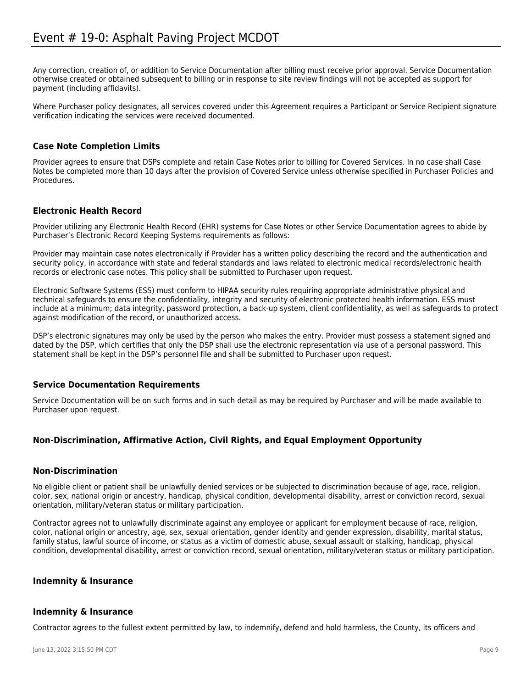Any correction, creation of, or addition to Service Documentation after billing must receive prior approval. Service Documentation otherwise created or obtained subsequent to billing or in response to site review findings will not be accepted as support for payment (including affidavits).

Where Purchaser policy designates, all services covered under this Agreement requires a Participant or Service Recipient signature verification indicating the services were received documented.

## **Case Note Completion Limits**

Provider agrees to ensure that DSPs complete and retain Case Notes prior to billing for Covered Services. In no case shall Case Notes be completed more than 10 days after the provision of Covered Service unless otherwise specified in Purchaser Policies and Procedures.

## **Electronic Health Record**

Provider utilizing any Electronic Health Record (EHR) systems for Case Notes or other Service Documentation agrees to abide by Purchaser's Electronic Record Keeping Systems requirements as follows:

Provider may maintain case notes electronically if Provider has a written policy describing the record and the authentication and security policy, in accordance with state and federal standards and laws related to electronic medical records/electronic health records or electronic case notes. This policy shall be submitted to Purchaser upon request.

Electronic Software Systems (ESS) must conform to HIPAA security rules requiring appropriate administrative physical and technical safeguards to ensure the confidentiality, integrity and security of electronic protected health information. ESS must include at a minimum; data integrity, password protection, a back-up system, client confidentiality, as well as safeguards to protect against modification of the record, or unauthorized access.

DSP's electronic signatures may only be used by the person who makes the entry. Provider must possess a statement signed and dated by the DSP, which certifies that only the DSP shall use the electronic representation via use of a personal password. This statement shall be kept in the DSP's personnel file and shall be submitted to Purchaser upon request.

## **Service Documentation Requirements**

Service Documentation will be on such forms and in such detail as may be required by Purchaser and will be made available to Purchaser upon request.

## **Non-Discrimination, Affirmative Action, Civil Rights, and Equal Employment Opportunity**

#### **Non-Discrimination**

No eligible client or patient shall be unlawfully denied services or be subjected to discrimination because of age, race, religion, color, sex, national origin or ancestry, handicap, physical condition, developmental disability, arrest or conviction record, sexual orientation, military/veteran status or military participation.

Contractor agrees not to unlawfully discriminate against any employee or applicant for employment because of race, religion, color, national origin or ancestry, age, sex, sexual orientation, gender identity and gender expression, disability, marital status, family status, lawful source of income, or status as a victim of domestic abuse, sexual assault or stalking, handicap, physical condition, developmental disability, arrest or conviction record, sexual orientation, military/veteran status or military participation.

## **Indemnity & Insurance**

## **Indemnity & Insurance**

Contractor agrees to the fullest extent permitted by law, to indemnify, defend and hold harmless, the County, its officers and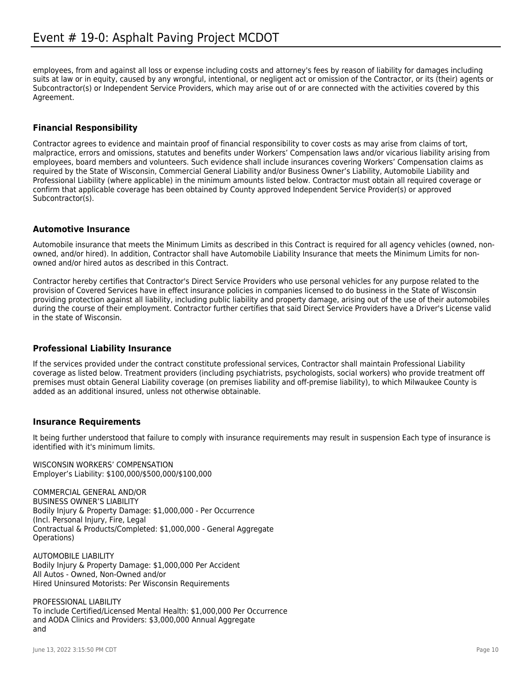employees, from and against all loss or expense including costs and attorney's fees by reason of liability for damages including suits at law or in equity, caused by any wrongful, intentional, or negligent act or omission of the Contractor, or its (their) agents or Subcontractor(s) or Independent Service Providers, which may arise out of or are connected with the activities covered by this Agreement.

## **Financial Responsibility**

Contractor agrees to evidence and maintain proof of financial responsibility to cover costs as may arise from claims of tort, malpractice, errors and omissions, statutes and benefits under Workers' Compensation laws and/or vicarious liability arising from employees, board members and volunteers. Such evidence shall include insurances covering Workers' Compensation claims as required by the State of Wisconsin, Commercial General Liability and/or Business Owner's Liability, Automobile Liability and Professional Liability (where applicable) in the minimum amounts listed below. Contractor must obtain all required coverage or confirm that applicable coverage has been obtained by County approved Independent Service Provider(s) or approved Subcontractor(s).

#### **Automotive Insurance**

Automobile insurance that meets the Minimum Limits as described in this Contract is required for all agency vehicles (owned, nonowned, and/or hired). In addition, Contractor shall have Automobile Liability Insurance that meets the Minimum Limits for nonowned and/or hired autos as described in this Contract.

Contractor hereby certifies that Contractor's Direct Service Providers who use personal vehicles for any purpose related to the provision of Covered Services have in effect insurance policies in companies licensed to do business in the State of Wisconsin providing protection against all liability, including public liability and property damage, arising out of the use of their automobiles during the course of their employment. Contractor further certifies that said Direct Service Providers have a Driver's License valid in the state of Wisconsin.

## **Professional Liability Insurance**

If the services provided under the contract constitute professional services, Contractor shall maintain Professional Liability coverage as listed below. Treatment providers (including psychiatrists, psychologists, social workers) who provide treatment off premises must obtain General Liability coverage (on premises liability and off-premise liability), to which Milwaukee County is added as an additional insured, unless not otherwise obtainable.

#### **Insurance Requirements**

It being further understood that failure to comply with insurance requirements may result in suspension Each type of insurance is identified with it's minimum limits.

WISCONSIN WORKERS' COMPENSATION Employer's Liability: \$100,000/\$500,000/\$100,000

COMMERCIAL GENERAL AND/OR BUSINESS OWNER'S LIABILITY Bodily Injury & Property Damage: \$1,000,000 - Per Occurrence (Incl. Personal Injury, Fire, Legal Contractual & Products/Completed: \$1,000,000 - General Aggregate Operations)

AUTOMOBILE LIABILITY Bodily Injury & Property Damage: \$1,000,000 Per Accident All Autos - Owned, Non-Owned and/or Hired Uninsured Motorists: Per Wisconsin Requirements

PROFESSIONAL LIABILITY To include Certified/Licensed Mental Health: \$1,000,000 Per Occurrence and AODA Clinics and Providers: \$3,000,000 Annual Aggregate and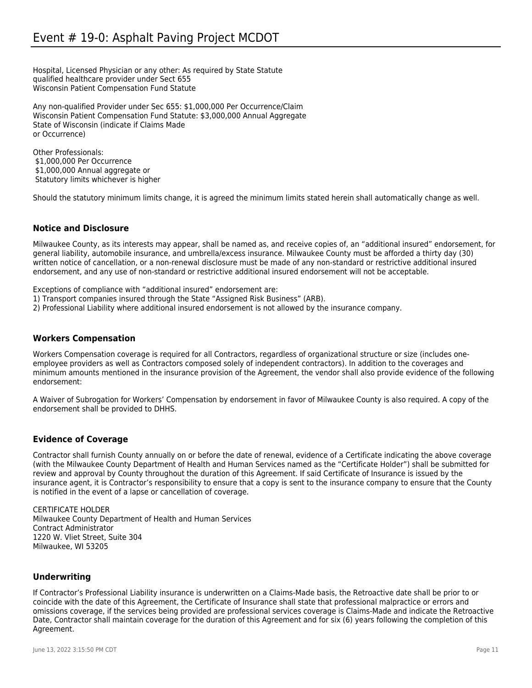Hospital, Licensed Physician or any other: As required by State Statute qualified healthcare provider under Sect 655 Wisconsin Patient Compensation Fund Statute

Any non-qualified Provider under Sec 655: \$1,000,000 Per Occurrence/Claim Wisconsin Patient Compensation Fund Statute: \$3,000,000 Annual Aggregate State of Wisconsin (indicate if Claims Made or Occurrence)

Other Professionals: \$1,000,000 Per Occurrence \$1,000,000 Annual aggregate or Statutory limits whichever is higher

Should the statutory minimum limits change, it is agreed the minimum limits stated herein shall automatically change as well.

## **Notice and Disclosure**

Milwaukee County, as its interests may appear, shall be named as, and receive copies of, an "additional insured" endorsement, for general liability, automobile insurance, and umbrella/excess insurance. Milwaukee County must be afforded a thirty day (30) written notice of cancellation, or a non-renewal disclosure must be made of any non-standard or restrictive additional insured endorsement, and any use of non-standard or restrictive additional insured endorsement will not be acceptable.

Exceptions of compliance with "additional insured" endorsement are: 1) Transport companies insured through the State "Assigned Risk Business" (ARB). 2) Professional Liability where additional insured endorsement is not allowed by the insurance company.

## **Workers Compensation**

Workers Compensation coverage is required for all Contractors, regardless of organizational structure or size (includes oneemployee providers as well as Contractors composed solely of independent contractors). In addition to the coverages and minimum amounts mentioned in the insurance provision of the Agreement, the vendor shall also provide evidence of the following endorsement:

A Waiver of Subrogation for Workers' Compensation by endorsement in favor of Milwaukee County is also required. A copy of the endorsement shall be provided to DHHS.

## **Evidence of Coverage**

Contractor shall furnish County annually on or before the date of renewal, evidence of a Certificate indicating the above coverage (with the Milwaukee County Department of Health and Human Services named as the "Certificate Holder") shall be submitted for review and approval by County throughout the duration of this Agreement. If said Certificate of Insurance is issued by the insurance agent, it is Contractor's responsibility to ensure that a copy is sent to the insurance company to ensure that the County is notified in the event of a lapse or cancellation of coverage.

CERTIFICATE HOLDER Milwaukee County Department of Health and Human Services Contract Administrator 1220 W. Vliet Street, Suite 304 Milwaukee, WI 53205

## **Underwriting**

If Contractor's Professional Liability insurance is underwritten on a Claims-Made basis, the Retroactive date shall be prior to or coincide with the date of this Agreement, the Certificate of Insurance shall state that professional malpractice or errors and omissions coverage, if the services being provided are professional services coverage is Claims-Made and indicate the Retroactive Date, Contractor shall maintain coverage for the duration of this Agreement and for six (6) years following the completion of this Agreement.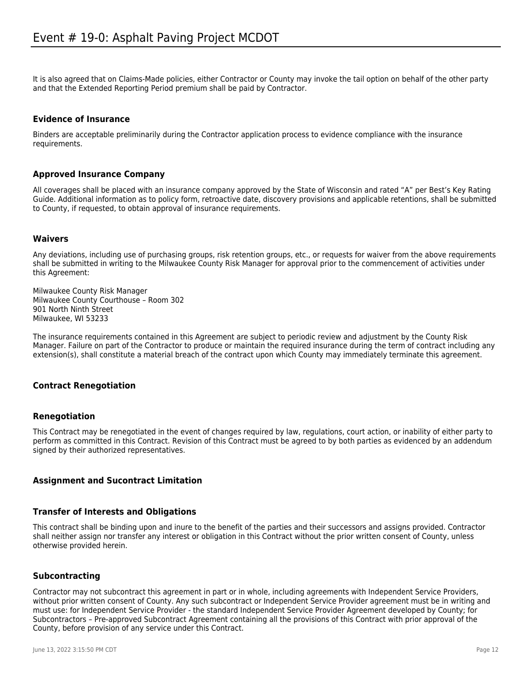It is also agreed that on Claims-Made policies, either Contractor or County may invoke the tail option on behalf of the other party and that the Extended Reporting Period premium shall be paid by Contractor.

## **Evidence of Insurance**

Binders are acceptable preliminarily during the Contractor application process to evidence compliance with the insurance requirements.

#### **Approved Insurance Company**

All coverages shall be placed with an insurance company approved by the State of Wisconsin and rated "A" per Best's Key Rating Guide. Additional information as to policy form, retroactive date, discovery provisions and applicable retentions, shall be submitted to County, if requested, to obtain approval of insurance requirements.

#### **Waivers**

Any deviations, including use of purchasing groups, risk retention groups, etc., or requests for waiver from the above requirements shall be submitted in writing to the Milwaukee County Risk Manager for approval prior to the commencement of activities under this Agreement:

Milwaukee County Risk Manager Milwaukee County Courthouse – Room 302 901 North Ninth Street Milwaukee, WI 53233

The insurance requirements contained in this Agreement are subject to periodic review and adjustment by the County Risk Manager. Failure on part of the Contractor to produce or maintain the required insurance during the term of contract including any extension(s), shall constitute a material breach of the contract upon which County may immediately terminate this agreement.

## **Contract Renegotiation**

#### **Renegotiation**

This Contract may be renegotiated in the event of changes required by law, regulations, court action, or inability of either party to perform as committed in this Contract. Revision of this Contract must be agreed to by both parties as evidenced by an addendum signed by their authorized representatives.

#### **Assignment and Sucontract Limitation**

#### **Transfer of Interests and Obligations**

This contract shall be binding upon and inure to the benefit of the parties and their successors and assigns provided. Contractor shall neither assign nor transfer any interest or obligation in this Contract without the prior written consent of County, unless otherwise provided herein.

#### **Subcontracting**

Contractor may not subcontract this agreement in part or in whole, including agreements with Independent Service Providers, without prior written consent of County. Any such subcontract or Independent Service Provider agreement must be in writing and must use: for Independent Service Provider - the standard Independent Service Provider Agreement developed by County; for Subcontractors – Pre-approved Subcontract Agreement containing all the provisions of this Contract with prior approval of the County, before provision of any service under this Contract.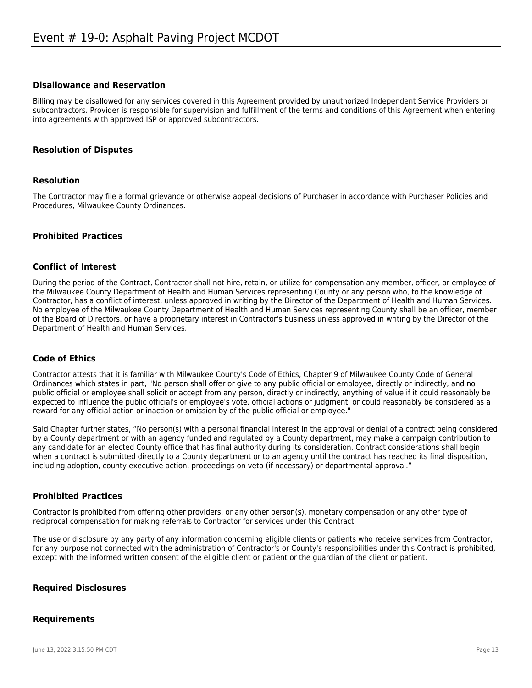#### **Disallowance and Reservation**

Billing may be disallowed for any services covered in this Agreement provided by unauthorized Independent Service Providers or subcontractors. Provider is responsible for supervision and fulfillment of the terms and conditions of this Agreement when entering into agreements with approved ISP or approved subcontractors.

#### **Resolution of Disputes**

#### **Resolution**

The Contractor may file a formal grievance or otherwise appeal decisions of Purchaser in accordance with Purchaser Policies and Procedures, Milwaukee County Ordinances.

#### **Prohibited Practices**

#### **Conflict of Interest**

During the period of the Contract, Contractor shall not hire, retain, or utilize for compensation any member, officer, or employee of the Milwaukee County Department of Health and Human Services representing County or any person who, to the knowledge of Contractor, has a conflict of interest, unless approved in writing by the Director of the Department of Health and Human Services. No employee of the Milwaukee County Department of Health and Human Services representing County shall be an officer, member of the Board of Directors, or have a proprietary interest in Contractor's business unless approved in writing by the Director of the Department of Health and Human Services.

#### **Code of Ethics**

Contractor attests that it is familiar with Milwaukee County's Code of Ethics, Chapter 9 of Milwaukee County Code of General Ordinances which states in part, "No person shall offer or give to any public official or employee, directly or indirectly, and no public official or employee shall solicit or accept from any person, directly or indirectly, anything of value if it could reasonably be expected to influence the public official's or employee's vote, official actions or judgment, or could reasonably be considered as a reward for any official action or inaction or omission by of the public official or employee."

Said Chapter further states, "No person(s) with a personal financial interest in the approval or denial of a contract being considered by a County department or with an agency funded and regulated by a County department, may make a campaign contribution to any candidate for an elected County office that has final authority during its consideration. Contract considerations shall begin when a contract is submitted directly to a County department or to an agency until the contract has reached its final disposition, including adoption, county executive action, proceedings on veto (if necessary) or departmental approval."

#### **Prohibited Practices**

Contractor is prohibited from offering other providers, or any other person(s), monetary compensation or any other type of reciprocal compensation for making referrals to Contractor for services under this Contract.

The use or disclosure by any party of any information concerning eligible clients or patients who receive services from Contractor, for any purpose not connected with the administration of Contractor's or County's responsibilities under this Contract is prohibited, except with the informed written consent of the eligible client or patient or the guardian of the client or patient.

#### **Required Disclosures**

#### **Requirements**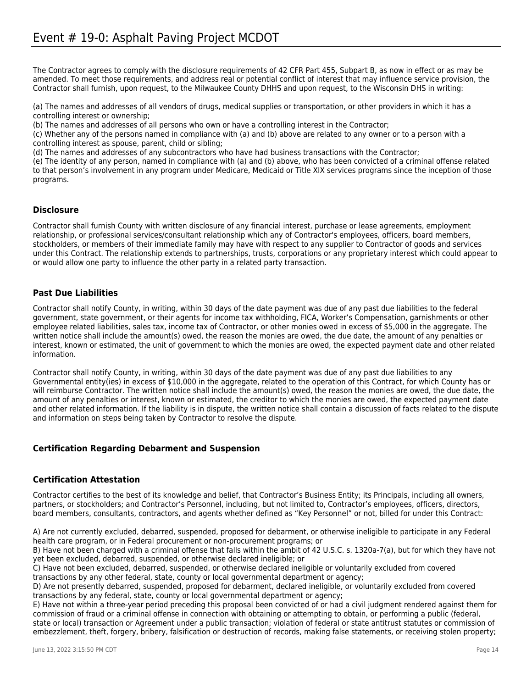The Contractor agrees to comply with the disclosure requirements of 42 CFR Part 455, Subpart B, as now in effect or as may be amended. To meet those requirements, and address real or potential conflict of interest that may influence service provision, the Contractor shall furnish, upon request, to the Milwaukee County DHHS and upon request, to the Wisconsin DHS in writing:

(a) The names and addresses of all vendors of drugs, medical supplies or transportation, or other providers in which it has a controlling interest or ownership;

(b) The names and addresses of all persons who own or have a controlling interest in the Contractor;

(c) Whether any of the persons named in compliance with (a) and (b) above are related to any owner or to a person with a controlling interest as spouse, parent, child or sibling;

(d) The names and addresses of any subcontractors who have had business transactions with the Contractor;

(e) The identity of any person, named in compliance with (a) and (b) above, who has been convicted of a criminal offense related to that person's involvement in any program under Medicare, Medicaid or Title XIX services programs since the inception of those programs.

#### **Disclosure**

Contractor shall furnish County with written disclosure of any financial interest, purchase or lease agreements, employment relationship, or professional services/consultant relationship which any of Contractor's employees, officers, board members, stockholders, or members of their immediate family may have with respect to any supplier to Contractor of goods and services under this Contract. The relationship extends to partnerships, trusts, corporations or any proprietary interest which could appear to or would allow one party to influence the other party in a related party transaction.

#### **Past Due Liabilities**

Contractor shall notify County, in writing, within 30 days of the date payment was due of any past due liabilities to the federal government, state government, or their agents for income tax withholding, FICA, Worker's Compensation, garnishments or other employee related liabilities, sales tax, income tax of Contractor, or other monies owed in excess of \$5,000 in the aggregate. The written notice shall include the amount(s) owed, the reason the monies are owed, the due date, the amount of any penalties or interest, known or estimated, the unit of government to which the monies are owed, the expected payment date and other related information.

Contractor shall notify County, in writing, within 30 days of the date payment was due of any past due liabilities to any Governmental entity(ies) in excess of \$10,000 in the aggregate, related to the operation of this Contract, for which County has or will reimburse Contractor. The written notice shall include the amount(s) owed, the reason the monies are owed, the due date, the amount of any penalties or interest, known or estimated, the creditor to which the monies are owed, the expected payment date and other related information. If the liability is in dispute, the written notice shall contain a discussion of facts related to the dispute and information on steps being taken by Contractor to resolve the dispute.

#### **Certification Regarding Debarment and Suspension**

#### **Certification Attestation**

Contractor certifies to the best of its knowledge and belief, that Contractor's Business Entity; its Principals, including all owners, partners, or stockholders; and Contractor's Personnel, including, but not limited to, Contractor's employees, officers, directors, board members, consultants, contractors, and agents whether defined as "Key Personnel" or not, billed for under this Contract:

A) Are not currently excluded, debarred, suspended, proposed for debarment, or otherwise ineligible to participate in any Federal health care program, or in Federal procurement or non-procurement programs; or

B) Have not been charged with a criminal offense that falls within the ambit of 42 U.S.C. s. 1320a-7(a), but for which they have not yet been excluded, debarred, suspended, or otherwise declared ineligible; or

C) Have not been excluded, debarred, suspended, or otherwise declared ineligible or voluntarily excluded from covered transactions by any other federal, state, county or local governmental department or agency;

D) Are not presently debarred, suspended, proposed for debarment, declared ineligible, or voluntarily excluded from covered transactions by any federal, state, county or local governmental department or agency;

E) Have not within a three-year period preceding this proposal been convicted of or had a civil judgment rendered against them for commission of fraud or a criminal offense in connection with obtaining or attempting to obtain, or performing a public (federal, state or local) transaction or Agreement under a public transaction; violation of federal or state antitrust statutes or commission of embezzlement, theft, forgery, bribery, falsification or destruction of records, making false statements, or receiving stolen property;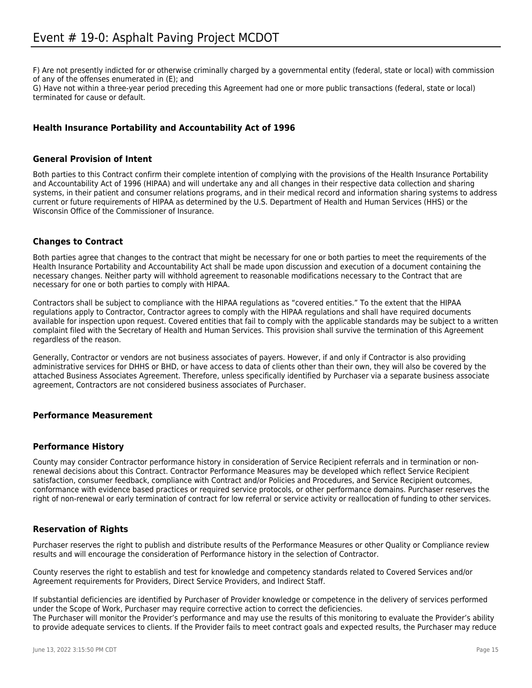F) Are not presently indicted for or otherwise criminally charged by a governmental entity (federal, state or local) with commission of any of the offenses enumerated in (E); and

G) Have not within a three-year period preceding this Agreement had one or more public transactions (federal, state or local) terminated for cause or default.

## **Health Insurance Portability and Accountability Act of 1996**

#### **General Provision of Intent**

Both parties to this Contract confirm their complete intention of complying with the provisions of the Health Insurance Portability and Accountability Act of 1996 (HIPAA) and will undertake any and all changes in their respective data collection and sharing systems, in their patient and consumer relations programs, and in their medical record and information sharing systems to address current or future requirements of HIPAA as determined by the U.S. Department of Health and Human Services (HHS) or the Wisconsin Office of the Commissioner of Insurance.

## **Changes to Contract**

Both parties agree that changes to the contract that might be necessary for one or both parties to meet the requirements of the Health Insurance Portability and Accountability Act shall be made upon discussion and execution of a document containing the necessary changes. Neither party will withhold agreement to reasonable modifications necessary to the Contract that are necessary for one or both parties to comply with HIPAA.

Contractors shall be subject to compliance with the HIPAA regulations as "covered entities." To the extent that the HIPAA regulations apply to Contractor, Contractor agrees to comply with the HIPAA regulations and shall have required documents available for inspection upon request. Covered entities that fail to comply with the applicable standards may be subject to a written complaint filed with the Secretary of Health and Human Services. This provision shall survive the termination of this Agreement regardless of the reason.

Generally, Contractor or vendors are not business associates of payers. However, if and only if Contractor is also providing administrative services for DHHS or BHD, or have access to data of clients other than their own, they will also be covered by the attached Business Associates Agreement. Therefore, unless specifically identified by Purchaser via a separate business associate agreement, Contractors are not considered business associates of Purchaser.

#### **Performance Measurement**

#### **Performance History**

County may consider Contractor performance history in consideration of Service Recipient referrals and in termination or nonrenewal decisions about this Contract. Contractor Performance Measures may be developed which reflect Service Recipient satisfaction, consumer feedback, compliance with Contract and/or Policies and Procedures, and Service Recipient outcomes, conformance with evidence based practices or required service protocols, or other performance domains. Purchaser reserves the right of non-renewal or early termination of contract for low referral or service activity or reallocation of funding to other services.

#### **Reservation of Rights**

Purchaser reserves the right to publish and distribute results of the Performance Measures or other Quality or Compliance review results and will encourage the consideration of Performance history in the selection of Contractor.

County reserves the right to establish and test for knowledge and competency standards related to Covered Services and/or Agreement requirements for Providers, Direct Service Providers, and Indirect Staff.

If substantial deficiencies are identified by Purchaser of Provider knowledge or competence in the delivery of services performed under the Scope of Work, Purchaser may require corrective action to correct the deficiencies. The Purchaser will monitor the Provider's performance and may use the results of this monitoring to evaluate the Provider's ability to provide adequate services to clients. If the Provider fails to meet contract goals and expected results, the Purchaser may reduce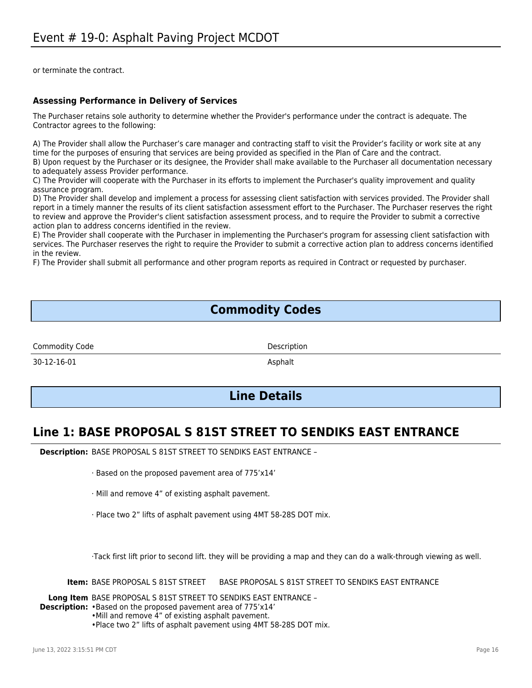or terminate the contract.

## **Assessing Performance in Delivery of Services**

The Purchaser retains sole authority to determine whether the Provider's performance under the contract is adequate. The Contractor agrees to the following:

A) The Provider shall allow the Purchaser's care manager and contracting staff to visit the Provider's facility or work site at any time for the purposes of ensuring that services are being provided as specified in the Plan of Care and the contract. B) Upon request by the Purchaser or its designee, the Provider shall make available to the Purchaser all documentation necessary

to adequately assess Provider performance.

C) The Provider will cooperate with the Purchaser in its efforts to implement the Purchaser's quality improvement and quality assurance program.

D) The Provider shall develop and implement a process for assessing client satisfaction with services provided. The Provider shall report in a timely manner the results of its client satisfaction assessment effort to the Purchaser. The Purchaser reserves the right to review and approve the Provider's client satisfaction assessment process, and to require the Provider to submit a corrective action plan to address concerns identified in the review.

E) The Provider shall cooperate with the Purchaser in implementing the Purchaser's program for assessing client satisfaction with services. The Purchaser reserves the right to require the Provider to submit a corrective action plan to address concerns identified in the review.

F) The Provider shall submit all performance and other program reports as required in Contract or requested by purchaser.

# **Commodity Codes**

Commodity Code Description

30-12-16-01 Asphalt

# **Line Details**

# **Line 1: BASE PROPOSAL S 81ST STREET TO SENDIKS EAST ENTRANCE**

**Description:** BASE PROPOSAL S 81ST STREET TO SENDIKS EAST ENTRANCE –

- · Based on the proposed pavement area of 775'x14'
- · Mill and remove 4" of existing asphalt pavement.
- · Place two 2" lifts of asphalt pavement using 4MT 58-28S DOT mix.

·Tack first lift prior to second lift. they will be providing a map and they can do a walk-through viewing as well.

**Item:** BASE PROPOSAL S 81ST STREET BASE PROPOSAL S 81ST STREET TO SENDIKS EAST ENTRANCE

**Long Item** BASE PROPOSAL S 81ST STREET TO SENDIKS EAST ENTRANCE –

**Description:** •Based on the proposed pavement area of 775'x14'

•Mill and remove 4" of existing asphalt pavement.

•Place two 2" lifts of asphalt pavement using 4MT 58-28S DOT mix.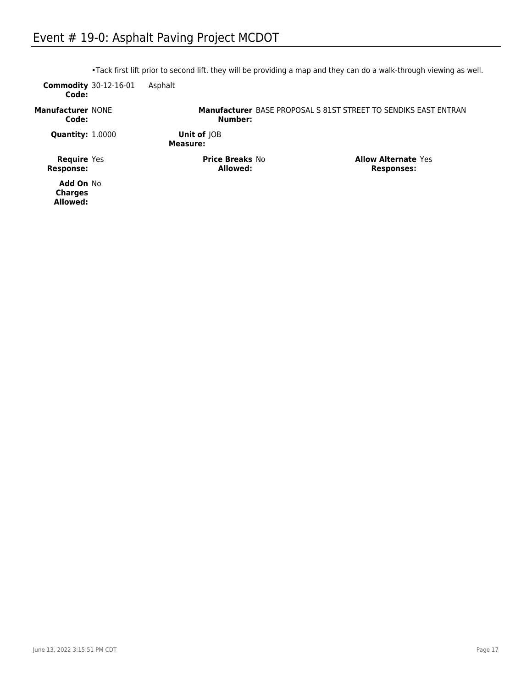| Code:                                  | <b>Commodity</b> 30-12-16-01 | Asphalt                            |                                                                        |                                                 |
|----------------------------------------|------------------------------|------------------------------------|------------------------------------------------------------------------|-------------------------------------------------|
| <b>Manufacturer NONE</b><br>Code:      |                              | Number:                            | <b>Manufacturer BASE PROPOSAL S 81ST STREET TO SENDIKS EAST ENTRAN</b> |                                                 |
| <b>Quantity: 1.0000</b>                |                              | Unit of  OB<br>Measure:            |                                                                        |                                                 |
| <b>Require</b> Yes<br><b>Response:</b> |                              | <b>Price Breaks No</b><br>Allowed: |                                                                        | <b>Allow Alternate Yes</b><br><b>Responses:</b> |

•Tack first lift prior to second lift. they will be providing a map and they can do a walk-through viewing as well.

**Add On** No **Charges Allowed:**